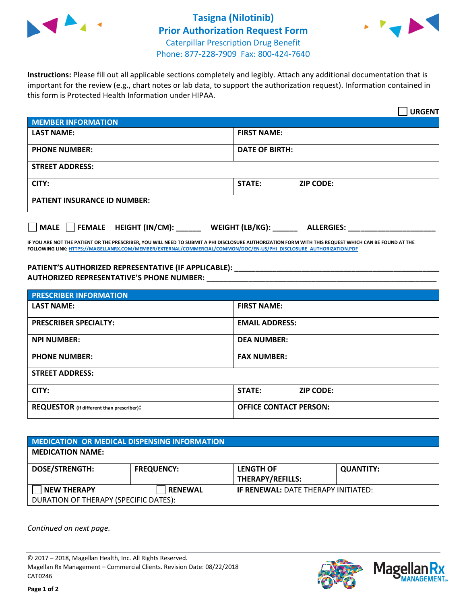

## **Tasigna (Nilotinib) Prior Authorization Request Form** Caterpillar Prescription Drug Benefit Phone: 877-228-7909 Fax: 800-424-7640



**Instructions:** Please fill out all applicable sections completely and legibly. Attach any additional documentation that is important for the review (e.g., chart notes or lab data, to support the authorization request). Information contained in this form is Protected Health Information under HIPAA.

|                                       | <b>URGENT</b>                        |  |  |
|---------------------------------------|--------------------------------------|--|--|
| <b>MEMBER INFORMATION</b>             |                                      |  |  |
| <b>LAST NAME:</b>                     | <b>FIRST NAME:</b>                   |  |  |
| <b>PHONE NUMBER:</b>                  | <b>DATE OF BIRTH:</b>                |  |  |
| <b>STREET ADDRESS:</b>                |                                      |  |  |
| CITY:                                 | STATE:<br><b>ZIP CODE:</b>           |  |  |
| <b>PATIENT INSURANCE ID NUMBER:</b>   |                                      |  |  |
| FEMALE HEIGHT (IN/CM):<br><b>MALE</b> | WEIGHT (LB/KG):<br><b>ALLERGIES:</b> |  |  |

**IF YOU ARE NOT THE PATIENT OR THE PRESCRIBER, YOU WILL NEED TO SUBMIT A PHI DISCLOSURE AUTHORIZATION FORM WITH THIS REQUEST WHICH CAN BE FOUND AT THE FOLLOWING LINK[: HTTPS://MAGELLANRX.COM/MEMBER/EXTERNAL/COMMERCIAL/COMMON/DOC/EN-US/PHI\\_DISCLOSURE\\_AUTHORIZATION.PDF](https://magellanrx.com/member/external/commercial/common/doc/en-us/PHI_Disclosure_Authorization.pdf)**

**PATIENT'S AUTHORIZED REPRESENTATIVE (IF APPLICABLE): \_\_\_\_\_\_\_\_\_\_\_\_\_\_\_\_\_\_\_\_\_\_\_\_\_\_\_\_\_\_\_\_\_\_\_\_\_\_\_\_\_\_\_\_\_\_\_\_\_ AUTHORIZED REPRESENTATIVE'S PHONE NUMBER:** \_\_\_\_\_\_\_\_\_\_\_\_\_\_\_\_\_\_\_\_\_\_\_\_\_\_\_\_\_\_\_\_\_\_\_\_\_\_\_\_\_\_\_\_\_\_\_\_\_\_\_\_\_\_\_

| <b>PRESCRIBER INFORMATION</b>             |                               |
|-------------------------------------------|-------------------------------|
| <b>LAST NAME:</b>                         | <b>FIRST NAME:</b>            |
| <b>PRESCRIBER SPECIALTY:</b>              | <b>EMAIL ADDRESS:</b>         |
| <b>NPI NUMBER:</b>                        | <b>DEA NUMBER:</b>            |
| <b>PHONE NUMBER:</b>                      | <b>FAX NUMBER:</b>            |
| <b>STREET ADDRESS:</b>                    |                               |
| CITY:                                     | STATE:<br><b>ZIP CODE:</b>    |
| REQUESTOR (if different than prescriber): | <b>OFFICE CONTACT PERSON:</b> |

| <b>MEDICATION OR MEDICAL DISPENSING INFORMATION</b> |                   |                                            |                  |  |
|-----------------------------------------------------|-------------------|--------------------------------------------|------------------|--|
| <b>MEDICATION NAME:</b>                             |                   |                                            |                  |  |
| <b>DOSE/STRENGTH:</b>                               | <b>FREQUENCY:</b> | <b>LENGTH OF</b>                           | <b>QUANTITY:</b> |  |
|                                                     |                   | <b>THERAPY/REFILLS:</b>                    |                  |  |
| <b>NEW THERAPY</b>                                  | <b>RENEWAL</b>    | <b>IF RENEWAL: DATE THERAPY INITIATED:</b> |                  |  |
| DURATION OF THERAPY (SPECIFIC DATES):               |                   |                                            |                  |  |

*Continued on next page.*

© 2017 – 2018, Magellan Health, Inc. All Rights Reserved. Magellan Rx Management – Commercial Clients. Revision Date: 08/22/2018 CAT0246